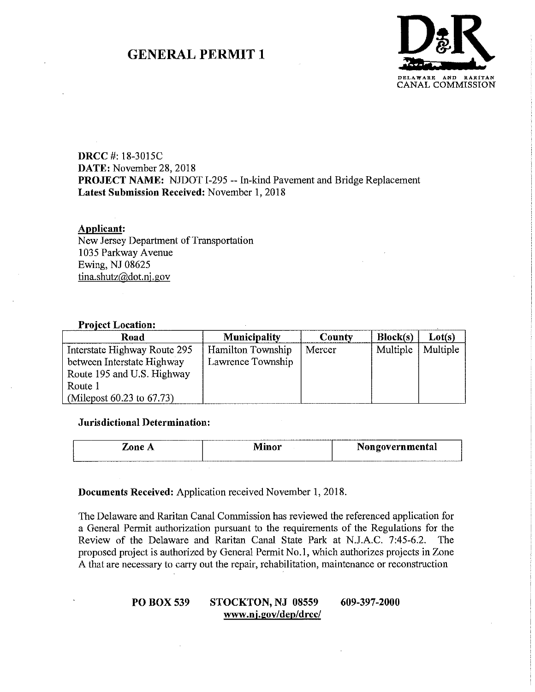# **GENERAL PERMIT 1**



## **DRCC** #: 18-3015C **DATE:** November 28, 2018 **PROJECT NAME:** NJDOT 1-295 -- In-kind Pavement and Bridge Replacement **Latest Submission Received:** November 1, 2018

### **Applicant:**

New Jersey Department of Transportation 1035 Parkway Avenue Ewing, NJ 08625 tina.shutz@dot.ni .gov

### **Project Location:**

| Road                         | <b>Municipality</b> | County | Block(s) | Lot(s)   |
|------------------------------|---------------------|--------|----------|----------|
| Interstate Highway Route 295 | Hamilton Township   | Mercer | Multiple | Multiple |
| between Interstate Highway   | Lawrence Township   |        |          |          |
| Route 195 and U.S. Highway   |                     |        |          |          |
| Route 1                      |                     |        |          |          |
| (Milepost 60.23 to 67.73)    |                     |        |          |          |

### **Jurisdictional Determination:**

| _______<br>.one | --<br>---<br>ічшоі | -----<br>Nongovernmental |
|-----------------|--------------------|--------------------------|
|                 |                    |                          |

### **Documents Received:** Application received November 1, 2018.

The Delaware and Raritan Canal Commission has reviewed the referenced application for a General Permit authorization pursuant to the requirements of the Regulations for the Review of the Delaware and Raritan Canal State Park at N.J.A.C. 7:45-6.2. The proposed project is authorized by General Permit No.1, which authorizes projects in Zone A that are necessary to carry out the repair, rehabilitation, maintenance or reconstruction

### **POBOX539 STOCKTON, NJ 08559 www.nj.gov/dep/drcc/ 609-397-2000**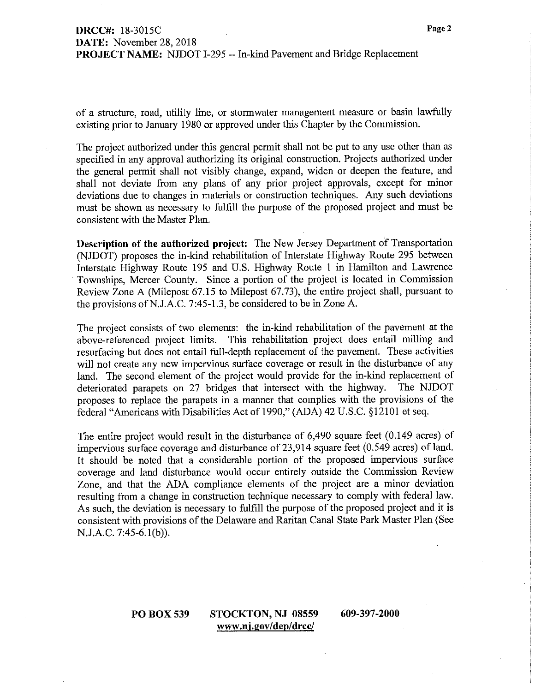of a structure, road, utility line, or stormwater management measure or basin lawfully existing prior to January 1980 or approved under this Chapter by the Commission.

The project authorized under this general permit shall not be put to any use other than as specified in any approval authorizing its original construction. Projects authorized under the general permit shall not visibly change, expand, widen or deepen the feature, and shall not deviate from any plans of any prior project approvals, except for minor deviations due to changes in materials or construction techniques. Any such deviations must be shown as necessary to fulfill the purpose of the proposed project and must be consistent with the Master Plan.

**Description of the authorized project:** The New Jersey Department of Transportation (NJDOT) proposes the in-kind rehabilitation of Interstate Highway Route 295 between Interstate Highway Route 195 and U.S. Highway Route I in Hamilton and Lawrence Townships, Mercer County. Since a portion of the project is located in Commission Review Zone A (Milepost 67.15 to Milepost 67.73), the entire project shall, pursuant to the provisions ofN.J.A.C. 7:45-1.3, be considered to be in Zone A.

The project consists of two elements: the in-kind rehabilitation of the pavement at the above-referenced project limits. This rehabilitation project does entail milling and resurfacing but does not entail full-depth replacement of the pavement. These activities will not create any new impervious surface coverage or result in the disturbance of any land. The second element of the project would provide for the in-kind replacement of deteriorated parapets on 27 bridges that intersect with the highway. The NJDOT proposes to replace the parapets in a manner that complies with the provisions of the federal "Americans with Disabilities Act of 1990," (ADA) 42 U.S.C. § 12101 et seq.

The entire project would result in the disturbance of 6,490 square feet (0.149 acres) of impervious surface coverage and disturbance of  $23,914$  square feet  $(0.549$  acres) of land. It should be noted that a considerable portion of the proposed impervious surface coverage and land disturbance would occur entirely outside the Commission Review Zone, and that the ADA compliance elements of the project are a minor deviation resulting from a change in construction technique necessary to comply with federal law. As such, the deviation is necessary to fulfill the purpose of the proposed project and it is consistent with provisions of the Delaware and Raritan Canal State Park Master Plan (See N.J.A.C. 7:45-6.l(b)).

### **POBOX539 STOCKTON, NJ 08559 www.nj.gov/dep/drcc/**

**609-397-2000**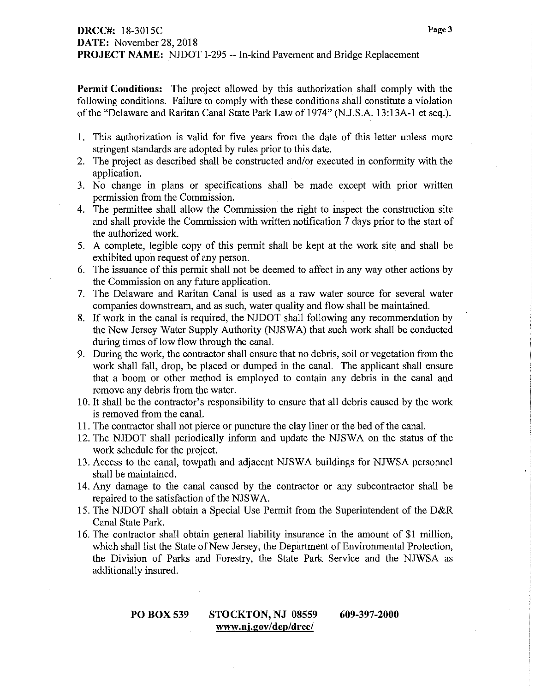**Permit Conditions:** The project allowed by this authorization shall comply with the following conditions. Failure to comply with these conditions shall constitute a violation of the "Delaware and Raritan Canal State Park Law of 1974" (N.J.S.A. 13:13A-1 et seq.).

- 1. This authorization is valid for five years from the date of this letter unless more stringent standards are adopted by rules prior to this date.
- 2. The project as described shall be constructed and/or executed in conformity with the application.
- 3. No change in plans or specifications shall be made except with prior written permission from the Commission.
- 4. The permittee shall allow the Commission the right to inspect the construction site and shall provide the Commission with written notification 7 days prior to the start of the authorized work.
- 5. A complete, legible copy of this permit shall be kept at the work site and shall be exhibited upon request of any person.
- 6. The issuance of this permit shall not be deemed to affect in any way other actions by the Commission on any future application.
- 7. The Delaware and Raritan Canal is used as a raw water source for several water companies downstream, and as such, water quality and flow shall be maintained.
- 8. If work in the canal is required, the NJDOT shall following any recommendation by the New Jersey Water Supply Authority (NJSWA) that such work shall be conducted during times of low flow through the canal.
- 9. During the work, the contractor shall ensure that no debris, soil or vegetation from the work shall fall, drop, be placed or dumped in the canal. The applicant shall ensure that a boom or other method is employed to contain any debris in the canal and remove any debris from the water.
- 10. It shall be the contractor's responsibility to ensure that all debris caused by the work is removed from the canal.
- **11.** The contractor shall not pierce or puncture the clay liner or the bed of the canal.
- 12. The NJDOT shall periodically inform and update the NJSWA on the status of the work schedule for the project.
- 13. Access to the canal, towpath and adjacent NJSWA buildings for NJWSA personnel shall be maintained.
- 14. Any damage to the canal caused by the contractor or any subcontractor shall be repaired to the satisfaction of the NJSWA.
- 15. The NJDOT shall obtain a Special Use Permit from the Superintendent of the D&R Canal State Park.
- 16. The contractor shall obtain general liability insurance in the amount of **\$1** million, which shall list the State of New Jersey, the Department of Enviromnental Protection, the Division of Parks and Forestry, the State Park Service and the NJWSA as additionally insured.

#### **POBOX539 STOCKTON, NJ 08559 www.nj.gov/dep/drcc/ 609-397-2000**